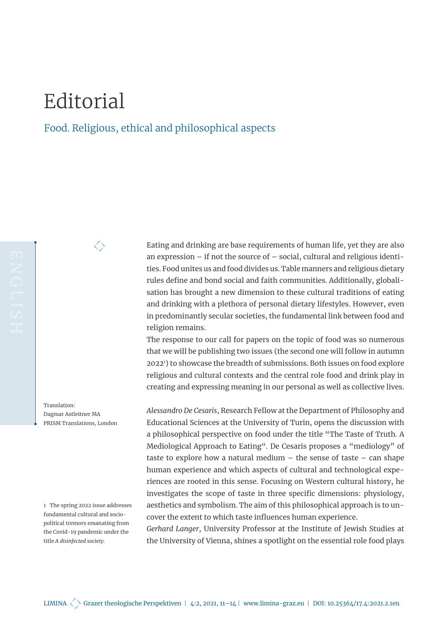## Editorial

 $\big<\big>$ 

## Food. Religious, ethical and philosophical aspects

<span id="page-0-0"></span>Eating and drinking are base requirements of human life, yet they are also an expression – if not the source of – social, cultural and religious identities. Food unites us and food divides us. Table manners and religious dietary rules define and bond social and faith communities. Additionally, globalisation has brought a new dimension to these cultural traditions of eating and drinking with a plethora of personal dietary lifestyles. However, even in predominantly secular societies, the fundamental link between food and religion remains.

The response to our call for papers on the topic of food was so numerous that we will be publishing two issues (the second one will follow in autumn 20221 ) to showcase the breadth of submissions. Both issues on food explore religious and cultural contexts and the central role food and drink play in creating and expressing meaning in our personal as well as collective lives.

*Alessandro De Cesaris*, Research Fellow at the Department of Philosophy and Educational Sciences at the University of Turin, opens the discussion with a philosophical perspective on food under the title "The Taste of Truth. A Mediological Approach to Eating". De Cesaris proposes a "mediology" of taste to explore how a natural medium – the sense of taste – can shape human experience and which aspects of cultural and technological experiences are rooted in this sense. Focusing on Western cultural history, he investigates the scope of taste in three specific dimensions: physiology, aesthetics and symbolism. The aim of this philosophical approach is to uncover the extent to which taste influences human experience.

*Gerhard Langer*, University Professor at the Institute of Jewish Studies at the University of Vienna, shines a spotlight on the essential role food plays

Translation: Dagmar Astleitner MA PRISM Translations, London

1 The spring 2022 issue addresses fundamental cultural and sociopolitical tremors emanating from the Covid-19 pandemic under the title *A disinfected society*.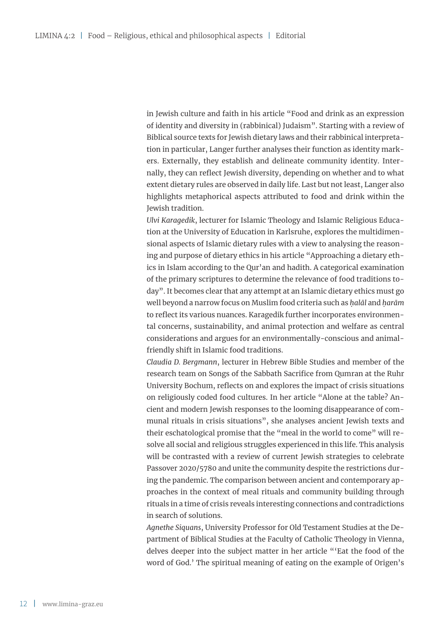in Jewish culture and faith in his article "Food and drink as an expression of identity and diversity in (rabbinical) Judaism". Starting with a review of Biblical source texts for Jewish dietary laws and their rabbinical interpretation in particular, Langer further analyses their function as identity markers. Externally, they establish and delineate community identity. Internally, they can reflect Jewish diversity, depending on whether and to what extent dietary rules are observed in daily life. Last but not least, Langer also highlights metaphorical aspects attributed to food and drink within the Jewish tradition.

*Ulvi Karagedik*, lecturer for Islamic Theology and Islamic Religious Education at the University of Education in Karlsruhe, explores the multidimensional aspects of Islamic dietary rules with a view to analysing the reasoning and purpose of dietary ethics in his article "Approaching a dietary ethics in Islam according to the Qur'an and hadith. A categorical examination of the primary scriptures to determine the relevance of food traditions today". It becomes clear that any attempt at an Islamic dietary ethics must go well beyond a narrow focus on Muslim food criteria such as *ḥalāl* and *ḥarām* to reflect its various nuances. Karagedik further incorporates environmental concerns, sustainability, and animal protection and welfare as central considerations and argues for an environmentally-conscious and animalfriendly shift in Islamic food traditions.

*Claudia D. Bergmann*, lecturer in Hebrew Bible Studies and member of the research team on Songs of the Sabbath Sacrifice from Qumran at the Ruhr University Bochum, reflects on and explores the impact of crisis situations on religiously coded food cultures. In her article "Alone at the table? Ancient and modern Jewish responses to the looming disappearance of communal rituals in crisis situations", she analyses ancient Jewish texts and their eschatological promise that the "meal in the world to come" will resolve all social and religious struggles experienced in this life. This analysis will be contrasted with a review of current Jewish strategies to celebrate Passover 2020/5780 and unite the community despite the restrictions during the pandemic. The comparison between ancient and contemporary approaches in the context of meal rituals and community building through rituals in a time of crisis reveals interesting connections and contradictions in search of solutions.

*Agnethe Siquans*, University Professor for Old Testament Studies at the Department of Biblical Studies at the Faculty of Catholic Theology in Vienna, delves deeper into the subject matter in her article "'Eat the food of the word of God.' The spiritual meaning of eating on the example of Origen's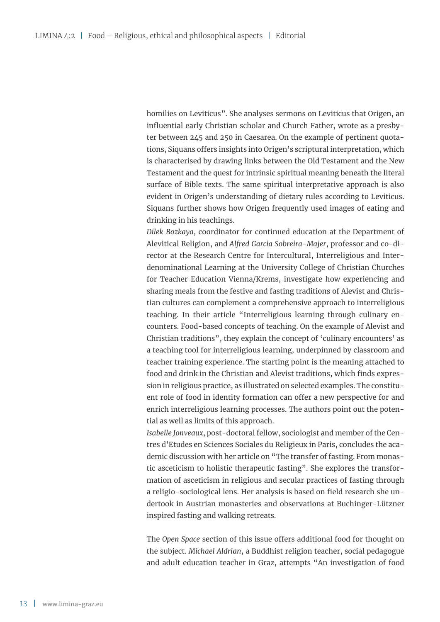homilies on Leviticus". She analyses sermons on Leviticus that Origen, an influential early Christian scholar and Church Father, wrote as a presbyter between 245 and 250 in Caesarea. On the example of pertinent quotations, Siquans offers insights into Origen's scriptural interpretation, which is characterised by drawing links between the Old Testament and the New Testament and the quest for intrinsic spiritual meaning beneath the literal surface of Bible texts. The same spiritual interpretative approach is also evident in Origen's understanding of dietary rules according to Leviticus. Siquans further shows how Origen frequently used images of eating and drinking in his teachings.

*Dilek Bozkaya*, coordinator for continued education at the Department of Alevitical Religion, and *Alfred Garcia Sobreira-Majer*, professor and co-director at the Research Centre for Intercultural, Interreligious and Interdenominational Learning at the University College of Christian Churches for Teacher Education Vienna/Krems, investigate how experiencing and sharing meals from the festive and fasting traditions of Alevist and Christian cultures can complement a comprehensive approach to interreligious teaching. In their article "Interreligious learning through culinary encounters. Food-based concepts of teaching. On the example of Alevist and Christian traditions", they explain the concept of 'culinary encounters' as a teaching tool for interreligious learning, underpinned by classroom and teacher training experience. The starting point is the meaning attached to food and drink in the Christian and Alevist traditions, which finds expression in religious practice, as illustrated on selected examples. The constituent role of food in identity formation can offer a new perspective for and enrich interreligious learning processes. The authors point out the potential as well as limits of this approach.

*Isabelle Jonveaux*, post-doctoral fellow, sociologist and member of the Centres d'Etudes en Sciences Sociales du Religieux in Paris, concludes the academic discussion with her article on "The transfer of fasting. From monastic asceticism to holistic therapeutic fasting". She explores the transformation of asceticism in religious and secular practices of fasting through a religio-sociological lens. Her analysis is based on field research she undertook in Austrian monasteries and observations at Buchinger-Lützner inspired fasting and walking retreats.

The *Open Space* section of this issue offers additional food for thought on the subject. *Michael Aldrian*, a Buddhist religion teacher, social pedagogue and adult education teacher in Graz, attempts "An investigation of food